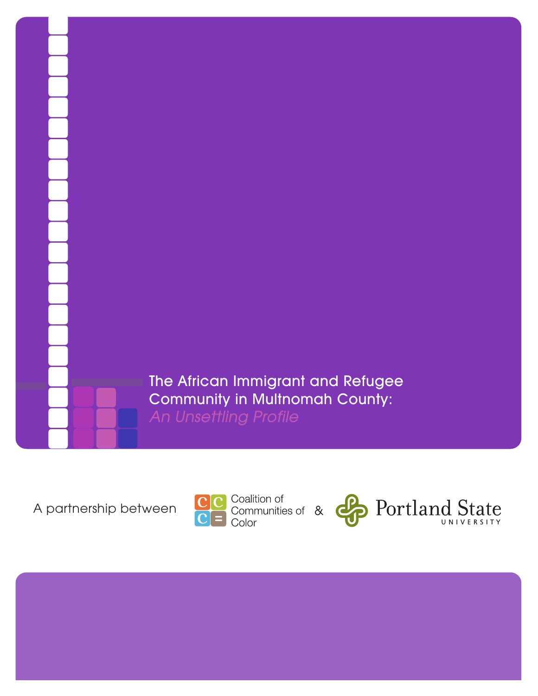The African Immigrant and Refugee Community in Multnomah County: An Unsettling Profile



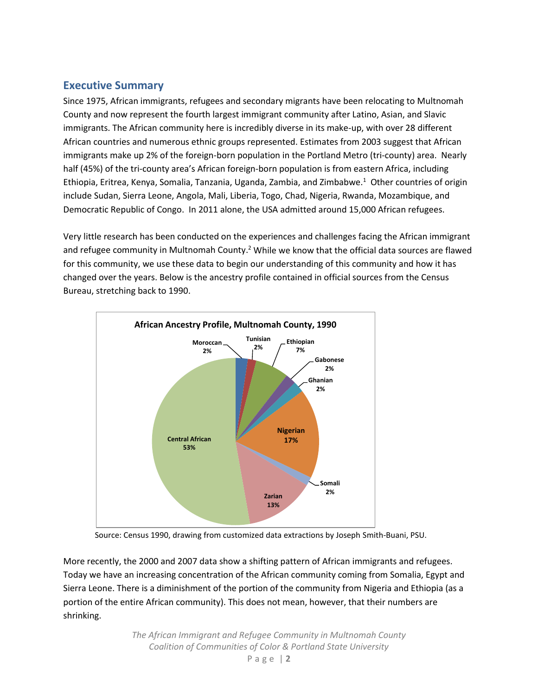# **Executive Summary**

Since 1975, African immigrants, refugees and secondary migrants have been relocating to Multnomah County and now represent the fourth largest immigrant community after Latino, Asian, and Slavic immigrants. The African community here is incredibly diverse in its make-up, with over 28 different African countries and numerous ethnic groups represented. Estimates from 2003 suggest that African immigrants make up 2% of the foreign-born population in the Portland Metro (tri-county) area. Nearly half (45%) of the tri-county area's African foreign-born population is from eastern Africa, including Ethiopia, Eritrea, Kenya, Somalia, Tanzania, Uganda, Zambia, and Zimbabwe.<sup>1</sup> Other countries of origin include Sudan, Sierra Leone, Angola, Mali, Liberia, Togo, Chad, Nigeria, Rwanda, Mozambique, and Democratic Republic of Congo. In 2011 alone, the USA admitted around 15,000 African refugees.

Very little research has been conducted on the experiences and challenges facing the African immigrant and refugee community in Multnomah County.<sup>2</sup> While we know that the official data sources are flawed for this community, we use these data to begin our understanding of this community and how it has changed over the years. Below is the ancestry profile contained in official sources from the Census Bureau, stretching back to 1990.



Source: Census 1990, drawing from customized data extractions by Joseph Smith-Buani, PSU.

More recently, the 2000 and 2007 data show a shifting pattern of African immigrants and refugees. Today we have an increasing concentration of the African community coming from Somalia, Egypt and Sierra Leone. There is a diminishment of the portion of the community from Nigeria and Ethiopia (as a portion of the entire African community). This does not mean, however, that their numbers are shrinking.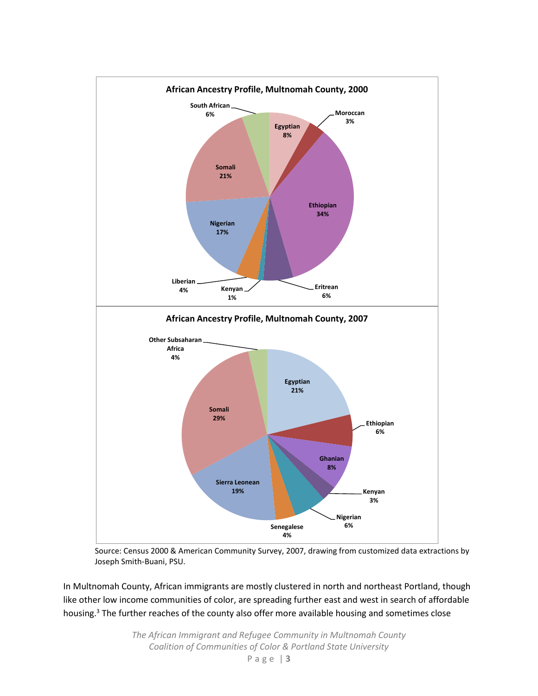

Source: Census 2000 & American Community Survey, 2007, drawing from customized data extractions by Joseph Smith-Buani, PSU.

In Multnomah County, African immigrants are mostly clustered in north and northeast Portland, though like other low income communities of color, are spreading further east and west in search of affordable housing.<sup>3</sup> The further reaches of the county also offer more available housing and sometimes close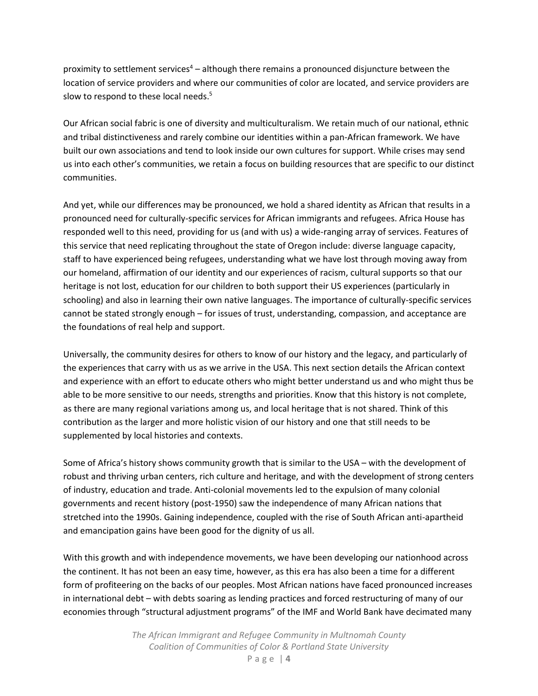proximity to settlement services<sup>4</sup> – although there remains a pronounced disjuncture between the location of service providers and where our communities of color are located, and service providers are slow to respond to these local needs.<sup>5</sup>

Our African social fabric is one of diversity and multiculturalism. We retain much of our national, ethnic and tribal distinctiveness and rarely combine our identities within a pan-African framework. We have built our own associations and tend to look inside our own cultures for support. While crises may send us into each other's communities, we retain a focus on building resources that are specific to our distinct communities.

And yet, while our differences may be pronounced, we hold a shared identity as African that results in a pronounced need for culturally-specific services for African immigrants and refugees. Africa House has responded well to this need, providing for us (and with us) a wide-ranging array of services. Features of this service that need replicating throughout the state of Oregon include: diverse language capacity, staff to have experienced being refugees, understanding what we have lost through moving away from our homeland, affirmation of our identity and our experiences of racism, cultural supports so that our heritage is not lost, education for our children to both support their US experiences (particularly in schooling) and also in learning their own native languages. The importance of culturally-specific services cannot be stated strongly enough – for issues of trust, understanding, compassion, and acceptance are the foundations of real help and support.

Universally, the community desires for others to know of our history and the legacy, and particularly of the experiences that carry with us as we arrive in the USA. This next section details the African context and experience with an effort to educate others who might better understand us and who might thus be able to be more sensitive to our needs, strengths and priorities. Know that this history is not complete, as there are many regional variations among us, and local heritage that is not shared. Think of this contribution as the larger and more holistic vision of our history and one that still needs to be supplemented by local histories and contexts.

Some of Africa's history shows community growth that is similar to the USA – with the development of robust and thriving urban centers, rich culture and heritage, and with the development of strong centers of industry, education and trade. Anti-colonial movements led to the expulsion of many colonial governments and recent history (post-1950) saw the independence of many African nations that stretched into the 1990s. Gaining independence, coupled with the rise of South African anti-apartheid and emancipation gains have been good for the dignity of us all.

With this growth and with independence movements, we have been developing our nationhood across the continent. It has not been an easy time, however, as this era has also been a time for a different form of profiteering on the backs of our peoples. Most African nations have faced pronounced increases in international debt – with debts soaring as lending practices and forced restructuring of many of our economies through "structural adjustment programs" of the IMF and World Bank have decimated many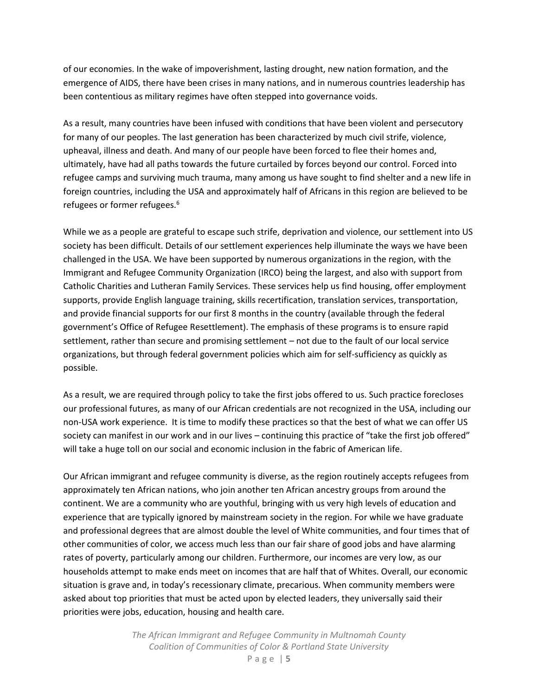of our economies. In the wake of impoverishment, lasting drought, new nation formation, and the emergence of AIDS, there have been crises in many nations, and in numerous countries leadership has been contentious as military regimes have often stepped into governance voids.

As a result, many countries have been infused with conditions that have been violent and persecutory for many of our peoples. The last generation has been characterized by much civil strife, violence, upheaval, illness and death. And many of our people have been forced to flee their homes and, ultimately, have had all paths towards the future curtailed by forces beyond our control. Forced into refugee camps and surviving much trauma, many among us have sought to find shelter and a new life in foreign countries, including the USA and approximately half of Africans in this region are believed to be refugees or former refugees.<sup>6</sup>

While we as a people are grateful to escape such strife, deprivation and violence, our settlement into US society has been difficult. Details of our settlement experiences help illuminate the ways we have been challenged in the USA. We have been supported by numerous organizations in the region, with the Immigrant and Refugee Community Organization (IRCO) being the largest, and also with support from Catholic Charities and Lutheran Family Services. These services help us find housing, offer employment supports, provide English language training, skills recertification, translation services, transportation, and provide financial supports for our first 8 months in the country (available through the federal government's Office of Refugee Resettlement). The emphasis of these programs is to ensure rapid settlement, rather than secure and promising settlement – not due to the fault of our local service organizations, but through federal government policies which aim for self-sufficiency as quickly as possible.

As a result, we are required through policy to take the first jobs offered to us. Such practice forecloses our professional futures, as many of our African credentials are not recognized in the USA, including our non-USA work experience. It is time to modify these practices so that the best of what we can offer US society can manifest in our work and in our lives – continuing this practice of "take the first job offered" will take a huge toll on our social and economic inclusion in the fabric of American life.

Our African immigrant and refugee community is diverse, as the region routinely accepts refugees from approximately ten African nations, who join another ten African ancestry groups from around the continent. We are a community who are youthful, bringing with us very high levels of education and experience that are typically ignored by mainstream society in the region. For while we have graduate and professional degrees that are almost double the level of White communities, and four times that of other communities of color, we access much less than our fair share of good jobs and have alarming rates of poverty, particularly among our children. Furthermore, our incomes are very low, as our households attempt to make ends meet on incomes that are half that of Whites. Overall, our economic situation is grave and, in today's recessionary climate, precarious. When community members were asked about top priorities that must be acted upon by elected leaders, they universally said their priorities were jobs, education, housing and health care.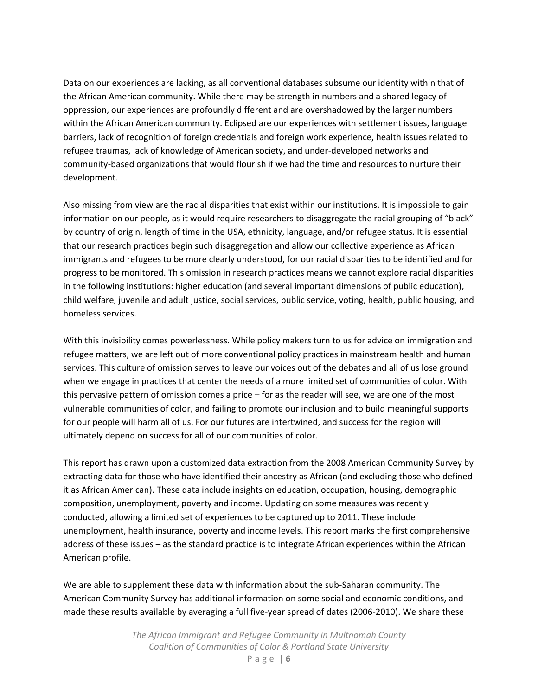Data on our experiences are lacking, as all conventional databases subsume our identity within that of the African American community. While there may be strength in numbers and a shared legacy of oppression, our experiences are profoundly different and are overshadowed by the larger numbers within the African American community. Eclipsed are our experiences with settlement issues, language barriers, lack of recognition of foreign credentials and foreign work experience, health issues related to refugee traumas, lack of knowledge of American society, and under-developed networks and community-based organizations that would flourish if we had the time and resources to nurture their development.

Also missing from view are the racial disparities that exist within our institutions. It is impossible to gain information on our people, as it would require researchers to disaggregate the racial grouping of "black" by country of origin, length of time in the USA, ethnicity, language, and/or refugee status. It is essential that our research practices begin such disaggregation and allow our collective experience as African immigrants and refugees to be more clearly understood, for our racial disparities to be identified and for progress to be monitored. This omission in research practices means we cannot explore racial disparities in the following institutions: higher education (and several important dimensions of public education), child welfare, juvenile and adult justice, social services, public service, voting, health, public housing, and homeless services.

With this invisibility comes powerlessness. While policy makers turn to us for advice on immigration and refugee matters, we are left out of more conventional policy practices in mainstream health and human services. This culture of omission serves to leave our voices out of the debates and all of us lose ground when we engage in practices that center the needs of a more limited set of communities of color. With this pervasive pattern of omission comes a price – for as the reader will see, we are one of the most vulnerable communities of color, and failing to promote our inclusion and to build meaningful supports for our people will harm all of us. For our futures are intertwined, and success for the region will ultimately depend on success for all of our communities of color.

This report has drawn upon a customized data extraction from the 2008 American Community Survey by extracting data for those who have identified their ancestry as African (and excluding those who defined it as African American). These data include insights on education, occupation, housing, demographic composition, unemployment, poverty and income. Updating on some measures was recently conducted, allowing a limited set of experiences to be captured up to 2011. These include unemployment, health insurance, poverty and income levels. This report marks the first comprehensive address of these issues – as the standard practice is to integrate African experiences within the African American profile.

We are able to supplement these data with information about the sub-Saharan community. The American Community Survey has additional information on some social and economic conditions, and made these results available by averaging a full five-year spread of dates (2006-2010). We share these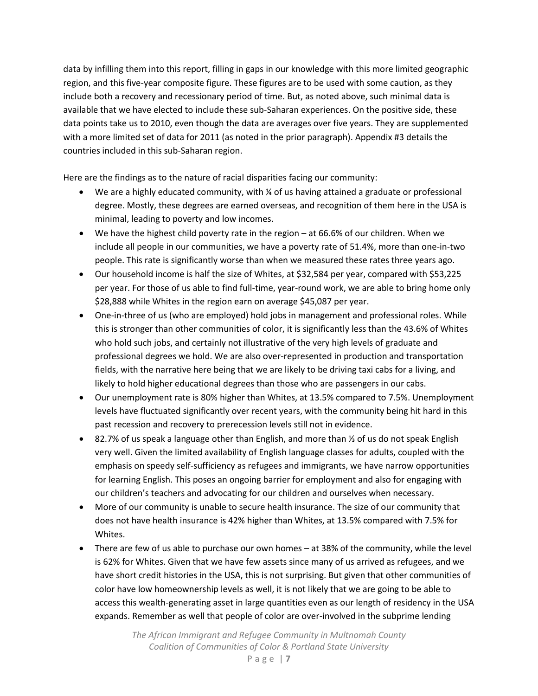data by infilling them into this report, filling in gaps in our knowledge with this more limited geographic region, and this five-year composite figure. These figures are to be used with some caution, as they include both a recovery and recessionary period of time. But, as noted above, such minimal data is available that we have elected to include these sub-Saharan experiences. On the positive side, these data points take us to 2010, even though the data are averages over five years. They are supplemented with a more limited set of data for 2011 (as noted in the prior paragraph). Appendix #3 details the countries included in this sub-Saharan region.

Here are the findings as to the nature of racial disparities facing our community:

- $\bullet$  We are a highly educated community, with  $\frac{1}{4}$  of us having attained a graduate or professional degree. Mostly, these degrees are earned overseas, and recognition of them here in the USA is minimal, leading to poverty and low incomes.
- $\bullet$  We have the highest child poverty rate in the region at 66.6% of our children. When we include all people in our communities, we have a poverty rate of 51.4%, more than one-in-two people. This rate is significantly worse than when we measured these rates three years ago.
- Our household income is half the size of Whites, at \$32,584 per year, compared with \$53,225 per year. For those of us able to find full-time, year-round work, we are able to bring home only \$28,888 while Whites in the region earn on average \$45,087 per year.
- One-in-three of us (who are employed) hold jobs in management and professional roles. While this is stronger than other communities of color, it is significantly less than the 43.6% of Whites who hold such jobs, and certainly not illustrative of the very high levels of graduate and professional degrees we hold. We are also over-represented in production and transportation fields, with the narrative here being that we are likely to be driving taxi cabs for a living, and likely to hold higher educational degrees than those who are passengers in our cabs.
- Our unemployment rate is 80% higher than Whites, at 13.5% compared to 7.5%. Unemployment levels have fluctuated significantly over recent years, with the community being hit hard in this past recession and recovery to prerecession levels still not in evidence.
- 82.7% of us speak a language other than English, and more than ⅓ of us do not speak English very well. Given the limited availability of English language classes for adults, coupled with the emphasis on speedy self-sufficiency as refugees and immigrants, we have narrow opportunities for learning English. This poses an ongoing barrier for employment and also for engaging with our children's teachers and advocating for our children and ourselves when necessary.
- More of our community is unable to secure health insurance. The size of our community that does not have health insurance is 42% higher than Whites, at 13.5% compared with 7.5% for Whites.
- There are few of us able to purchase our own homes at 38% of the community, while the level is 62% for Whites. Given that we have few assets since many of us arrived as refugees, and we have short credit histories in the USA, this is not surprising. But given that other communities of color have low homeownership levels as well, it is not likely that we are going to be able to access this wealth-generating asset in large quantities even as our length of residency in the USA expands. Remember as well that people of color are over-involved in the subprime lending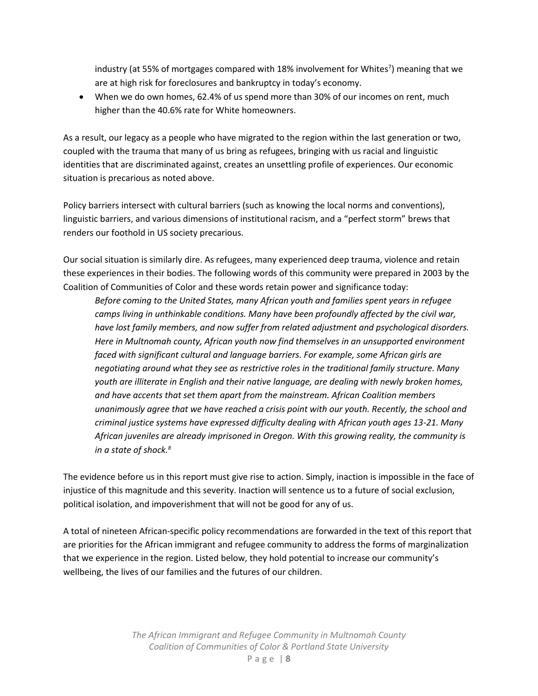industry (at 55% of mortgages compared with 18% involvement for Whites<sup>7</sup>) meaning that we are at high risk for foreclosures and bankruptcy in today's economy.

 When we do own homes, 62.4% of us spend more than 30% of our incomes on rent, much higher than the 40.6% rate for White homeowners.

As a result, our legacy as a people who have migrated to the region within the last generation or two, coupled with the trauma that many of us bring as refugees, bringing with us racial and linguistic identities that are discriminated against, creates an unsettling profile of experiences. Our economic situation is precarious as noted above.

Policy barriers intersect with cultural barriers (such as knowing the local norms and conventions), linguistic barriers, and various dimensions of institutional racism, and a "perfect storm" brews that renders our foothold in US society precarious.

Our social situation is similarly dire. As refugees, many experienced deep trauma, violence and retain these experiences in their bodies. The following words of this community were prepared in 2003 by the Coalition of Communities of Color and these words retain power and significance today:

*Before coming to the United States, many African youth and families spent years in refugee camps living in unthinkable conditions. Many have been profoundly affected by the civil war, have lost family members, and now suffer from related adjustment and psychological disorders. Here in Multnomah county, African youth now find themselves in an unsupported environment faced with significant cultural and language barriers. For example, some African girls are negotiating around what they see as restrictive roles in the traditional family structure. Many youth are illiterate in English and their native language, are dealing with newly broken homes, and have accents that set them apart from the mainstream. African Coalition members unanimously agree that we have reached a crisis point with our youth. Recently, the school and criminal justice systems have expressed difficulty dealing with African youth ages 13-21. Many African juveniles are already imprisoned in Oregon. With this growing reality, the community is in a state of shock.8*

The evidence before us in this report must give rise to action. Simply, inaction is impossible in the face of injustice of this magnitude and this severity. Inaction will sentence us to a future of social exclusion, political isolation, and impoverishment that will not be good for any of us.

A total of nineteen African-specific policy recommendations are forwarded in the text of this report that are priorities for the African immigrant and refugee community to address the forms of marginalization that we experience in the region. Listed below, they hold potential to increase our community's wellbeing, the lives of our families and the futures of our children.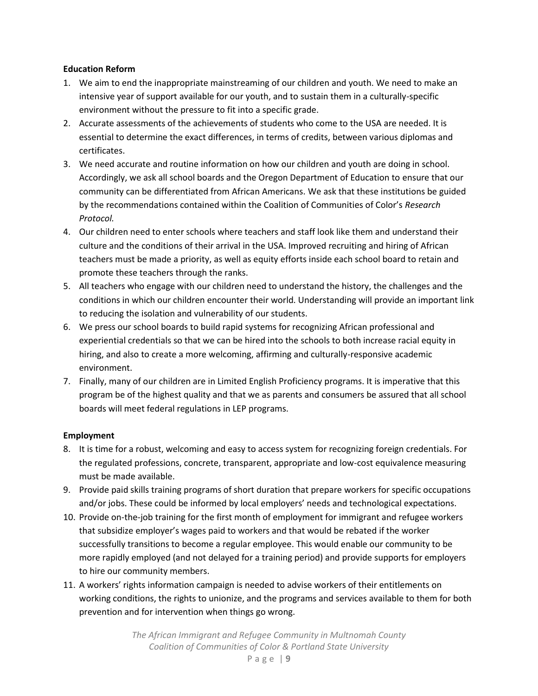#### **Education Reform**

- 1. We aim to end the inappropriate mainstreaming of our children and youth. We need to make an intensive year of support available for our youth, and to sustain them in a culturally-specific environment without the pressure to fit into a specific grade.
- 2. Accurate assessments of the achievements of students who come to the USA are needed. It is essential to determine the exact differences, in terms of credits, between various diplomas and certificates.
- 3. We need accurate and routine information on how our children and youth are doing in school. Accordingly, we ask all school boards and the Oregon Department of Education to ensure that our community can be differentiated from African Americans. We ask that these institutions be guided by the recommendations contained within the Coalition of Communities of Color's *Research Protocol.*
- 4. Our children need to enter schools where teachers and staff look like them and understand their culture and the conditions of their arrival in the USA. Improved recruiting and hiring of African teachers must be made a priority, as well as equity efforts inside each school board to retain and promote these teachers through the ranks.
- 5. All teachers who engage with our children need to understand the history, the challenges and the conditions in which our children encounter their world. Understanding will provide an important link to reducing the isolation and vulnerability of our students.
- 6. We press our school boards to build rapid systems for recognizing African professional and experiential credentials so that we can be hired into the schools to both increase racial equity in hiring, and also to create a more welcoming, affirming and culturally-responsive academic environment.
- 7. Finally, many of our children are in Limited English Proficiency programs. It is imperative that this program be of the highest quality and that we as parents and consumers be assured that all school boards will meet federal regulations in LEP programs.

## **Employment**

- 8. It is time for a robust, welcoming and easy to access system for recognizing foreign credentials. For the regulated professions, concrete, transparent, appropriate and low-cost equivalence measuring must be made available.
- 9. Provide paid skills training programs of short duration that prepare workers for specific occupations and/or jobs. These could be informed by local employers' needs and technological expectations.
- 10. Provide on-the-job training for the first month of employment for immigrant and refugee workers that subsidize employer's wages paid to workers and that would be rebated if the worker successfully transitions to become a regular employee. This would enable our community to be more rapidly employed (and not delayed for a training period) and provide supports for employers to hire our community members.
- 11. A workers' rights information campaign is needed to advise workers of their entitlements on working conditions, the rights to unionize, and the programs and services available to them for both prevention and for intervention when things go wrong.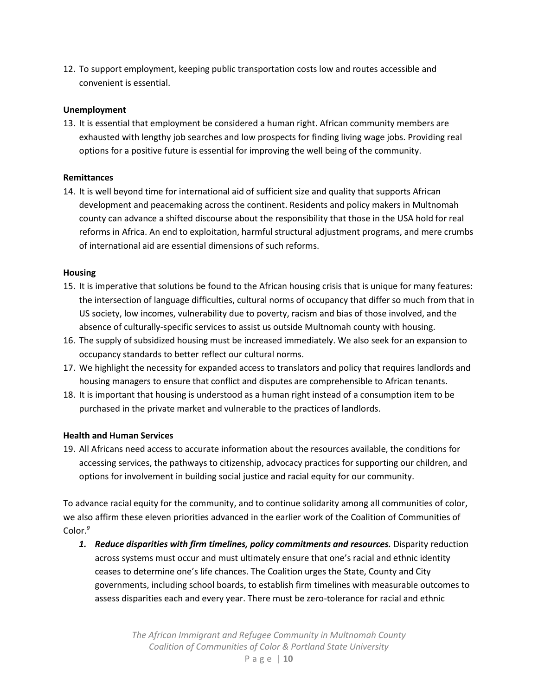12. To support employment, keeping public transportation costs low and routes accessible and convenient is essential.

#### **Unemployment**

13. It is essential that employment be considered a human right. African community members are exhausted with lengthy job searches and low prospects for finding living wage jobs. Providing real options for a positive future is essential for improving the well being of the community.

#### **Remittances**

14. It is well beyond time for international aid of sufficient size and quality that supports African development and peacemaking across the continent. Residents and policy makers in Multnomah county can advance a shifted discourse about the responsibility that those in the USA hold for real reforms in Africa. An end to exploitation, harmful structural adjustment programs, and mere crumbs of international aid are essential dimensions of such reforms.

#### **Housing**

- 15. It is imperative that solutions be found to the African housing crisis that is unique for many features: the intersection of language difficulties, cultural norms of occupancy that differ so much from that in US society, low incomes, vulnerability due to poverty, racism and bias of those involved, and the absence of culturally-specific services to assist us outside Multnomah county with housing.
- 16. The supply of subsidized housing must be increased immediately. We also seek for an expansion to occupancy standards to better reflect our cultural norms.
- 17. We highlight the necessity for expanded access to translators and policy that requires landlords and housing managers to ensure that conflict and disputes are comprehensible to African tenants.
- 18. It is important that housing is understood as a human right instead of a consumption item to be purchased in the private market and vulnerable to the practices of landlords.

## **Health and Human Services**

19. All Africans need access to accurate information about the resources available, the conditions for accessing services, the pathways to citizenship, advocacy practices for supporting our children, and options for involvement in building social justice and racial equity for our community.

To advance racial equity for the community, and to continue solidarity among all communities of color, we also affirm these eleven priorities advanced in the earlier work of the Coalition of Communities of Color. *9*

*1. Reduce disparities with firm timelines, policy commitments and resources.* Disparity reduction across systems must occur and must ultimately ensure that one's racial and ethnic identity ceases to determine one's life chances. The Coalition urges the State, County and City governments, including school boards, to establish firm timelines with measurable outcomes to assess disparities each and every year. There must be zero-tolerance for racial and ethnic

> *The African Immigrant and Refugee Community in Multnomah County Coalition of Communities of Color & Portland State University*

Page | **10**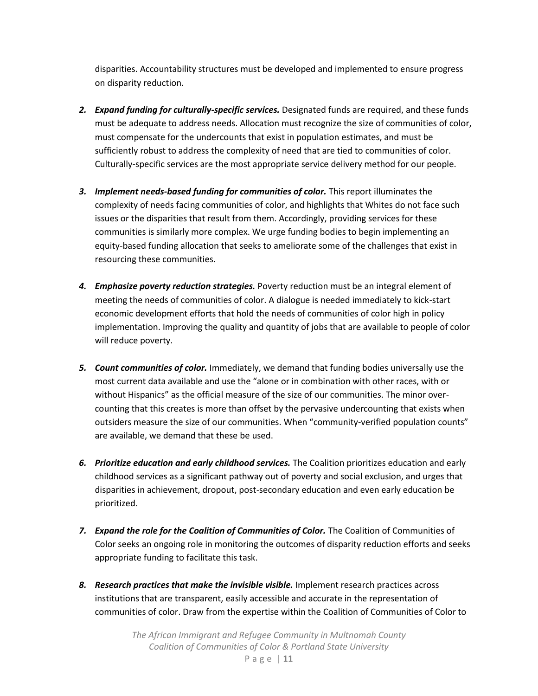disparities. Accountability structures must be developed and implemented to ensure progress on disparity reduction.

- *2. Expand funding for culturally-specific services.* Designated funds are required, and these funds must be adequate to address needs. Allocation must recognize the size of communities of color, must compensate for the undercounts that exist in population estimates, and must be sufficiently robust to address the complexity of need that are tied to communities of color. Culturally-specific services are the most appropriate service delivery method for our people.
- *3. Implement needs-based funding for communities of color.* This report illuminates the complexity of needs facing communities of color, and highlights that Whites do not face such issues or the disparities that result from them. Accordingly, providing services for these communities is similarly more complex. We urge funding bodies to begin implementing an equity-based funding allocation that seeks to ameliorate some of the challenges that exist in resourcing these communities.
- *4. Emphasize poverty reduction strategies.* Poverty reduction must be an integral element of meeting the needs of communities of color. A dialogue is needed immediately to kick-start economic development efforts that hold the needs of communities of color high in policy implementation. Improving the quality and quantity of jobs that are available to people of color will reduce poverty.
- *5. Count communities of color.* Immediately, we demand that funding bodies universally use the most current data available and use the "alone or in combination with other races, with or without Hispanics" as the official measure of the size of our communities. The minor overcounting that this creates is more than offset by the pervasive undercounting that exists when outsiders measure the size of our communities. When "community-verified population counts" are available, we demand that these be used.
- *6. Prioritize education and early childhood services.* The Coalition prioritizes education and early childhood services as a significant pathway out of poverty and social exclusion, and urges that disparities in achievement, dropout, post-secondary education and even early education be prioritized.
- *7. Expand the role for the Coalition of Communities of Color.* The Coalition of Communities of Color seeks an ongoing role in monitoring the outcomes of disparity reduction efforts and seeks appropriate funding to facilitate this task.
- *8. Research practices that make the invisible visible.* Implement research practices across institutions that are transparent, easily accessible and accurate in the representation of communities of color. Draw from the expertise within the Coalition of Communities of Color to

*The African Immigrant and Refugee Community in Multnomah County Coalition of Communities of Color & Portland State University*

Page | **11**